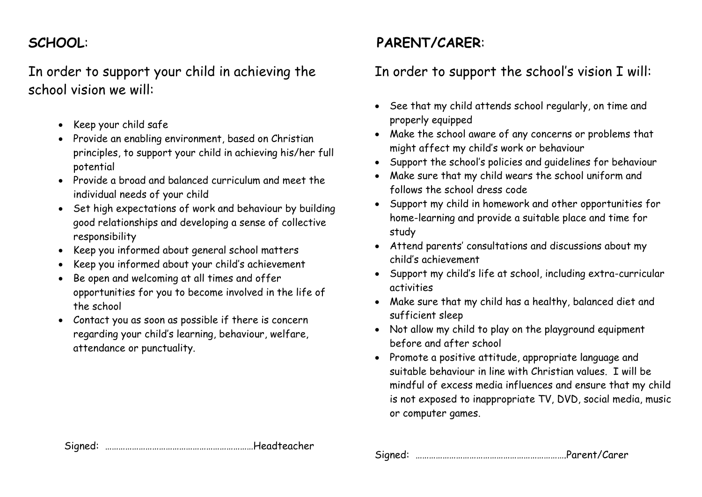## **SCHOOL**:

In order to support your child in achieving the school vision we will:

- Keep your child safe
- Provide an enabling environment, based on Christian principles, to support your child in achieving his/her full potential
- Provide a broad and balanced curriculum and meet the individual needs of your child
- Set high expectations of work and behaviour by building good relationships and developing a sense of collective responsibility
- Keep you informed about general school matters
- Keep you informed about your child's achievement
- Be open and welcoming at all times and offer opportunities for you to become involved in the life of the school
- Contact you as soon as possible if there is concern regarding your child's learning, behaviour, welfare, attendance or punctuality.

### **PARENT/CARER**:

#### In order to support the school's vision I will:

- See that my child attends school regularly, on time and properly equipped
- Make the school aware of any concerns or problems that might affect my child's work or behaviour
- Support the school's policies and guidelines for behaviour
- Make sure that my child wears the school uniform and follows the school dress code
- Support my child in homework and other opportunities for home-learning and provide a suitable place and time for study
- Attend parents' consultations and discussions about my child's achievement
- Support my child's life at school, including extra-curricular activities
- Make sure that my child has a healthy, balanced diet and sufficient sleep
- Not allow my child to play on the playground equipment before and after school
- Promote a positive attitude, appropriate language and suitable behaviour in line with Christian values. I will be mindful of excess media influences and ensure that my child is not exposed to inappropriate TV, DVD, social media, music or computer games.

Signed: ………………………………………………………….Parent/Carer